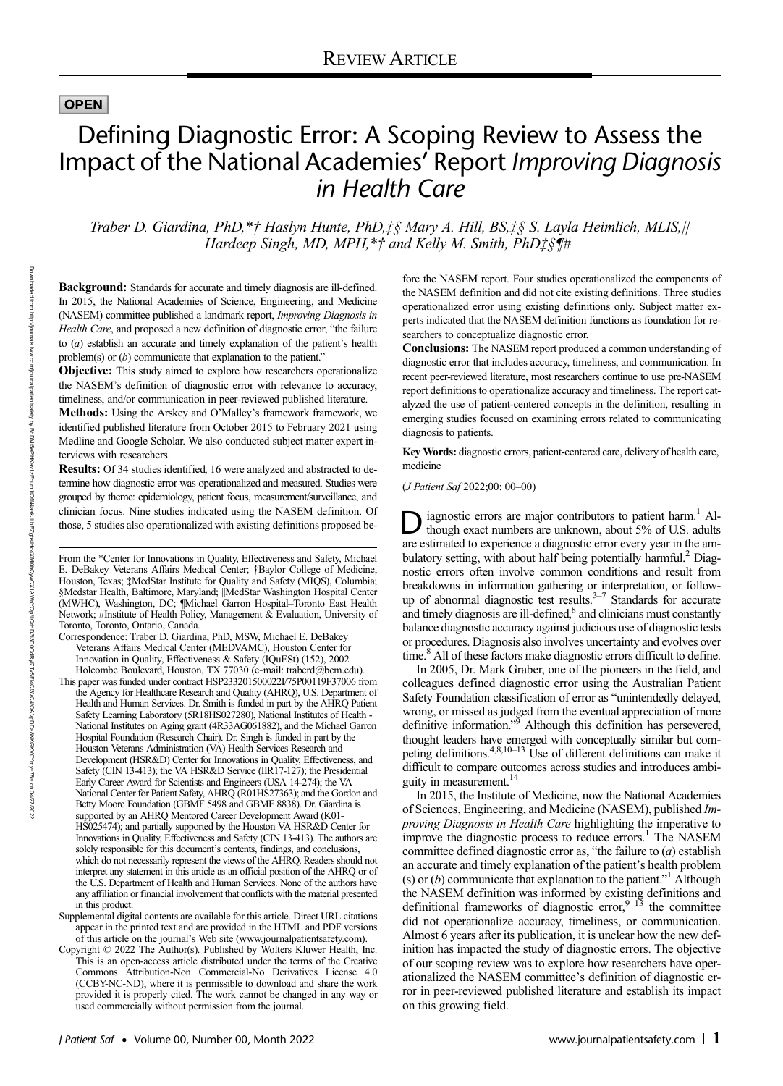## **OPEN**

# Defining Diagnostic Error: A Scoping Review to Assess the Impact of the National Academies' Report Improving Diagnosis in Health Care

Traber D. Giardina, PhD,\*† Haslyn Hunte, PhD,‡§ Mary A. Hill, BS,‡§ S. Layla Heimlich, MLIS,|| Hardeep Singh, MD, MPH,\*† and Kelly M. Smith, PhD‡§¶#

Background: Standards for accurate and timely diagnosis are ill-defined. In 2015, the National Academies of Science, Engineering, and Medicine (NASEM) committee published a landmark report, Improving Diagnosis in Health Care, and proposed a new definition of diagnostic error, "the failure to (a) establish an accurate and timely explanation of the patient's health problem(s) or (b) communicate that explanation to the patient."

**Objective:** This study aimed to explore how researchers operationalize the NASEM's definition of diagnostic error with relevance to accuracy, timeliness, and/or communication in peer-reviewed published literature.

Methods: Using the Arskey and O'Malley's framework framework, we identified published literature from October 2015 to February 2021 using Medline and Google Scholar. We also conducted subject matter expert interviews with researchers.

Results: Of 34 studies identified, 16 were analyzed and abstracted to determine how diagnostic error was operationalized and measured. Studies were grouped by theme: epidemiology, patient focus, measurement/surveillance, and clinician focus. Nine studies indicated using the NASEM definition. Of those, 5 studies also operationalized with existing definitions proposed be-

From the \*Center for Innovations in Quality, Effectiveness and Safety, Michael E. DeBakey Veterans Affairs Medical Center; †Baylor College of Medicine, Houston, Texas; ‡MedStar Institute for Quality and Safety (MIQS), Columbia; §Medstar Health, Baltimore, Maryland; ||MedStar Washington Hospital Center (MWHC), Washington, DC; ¶Michael Garron Hospital–Toronto East Health Network; #Institute of Health Policy, Management & Evaluation, University of Toronto, Toronto, Ontario, Canada.

- Correspondence: Traber D. Giardina, PhD, MSW, Michael E. DeBakey Veterans Affairs Medical Center (MEDVAMC), Houston Center for Innovation in Quality, Effectiveness & Safety (IQuESt) (152), 2002 Holcombe Boulevard, Houston, TX 77030 (e-mail: [traberd@bcm.edu](mailto:traberd@bcm.edu)).
- This paper was funded under contract HSP233201500022I/75P00119F37006 from the Agency for Healthcare Research and Quality (AHRQ), U.S. Department of Health and Human Services. Dr. Smith is funded in part by the AHRQ Patient Safety Learning Laboratory (5R18HS027280), National Institutes of Health - National Institutes on Aging grant (4R33AG061882), and the Michael Garron Hospital Foundation (Research Chair). Dr. Singh is funded in part by the Houston Veterans Administration (VA) Health Services Research and Development (HSR&D) Center for Innovations in Quality, Effectiveness, and Safety (CIN 13-413); the VA HSR&D Service (IIR17-127); the Presidential Early Career Award for Scientists and Engineers (USA 14-274); the VA National Center for Patient Safety, AHRQ (R01HS27363); and the Gordon and Betty Moore Foundation (GBMF 5498 and GBMF 8838). Dr. Giardina is supported by an AHRQ Mentored Career Development Award (K01-HS025474); and partially supported by the Houston VA HSR&D Center for Innovations in Quality, Effectiveness and Safety (CIN 13-413). The authors are solely responsible for this document's contents, findings, and conclusions, which do not necessarily represent the views of the AHRQ. Readers should not interpret any statement in this article as an official position of the AHRQ or of the U.S. Department of Health and Human Services. None of the authors have any affiliation or financial involvement that conflicts with the material presented in this product.
- Supplemental digital contents are available for this article. Direct URL citations appear in the printed text and are provided in the HTML and PDF versions of this article on the journal's Web site [\(www.journalpatientsafety.com\)](http://creativecommons.org/licenses/by-nc-nd/4.0/).
- Copyright © 2022 The Author(s). Published by Wolters Kluwer Health, Inc. This is an open-access article distributed under the terms of the [Creative](http://creativecommons.org/licenses/by--nc--nd/4.0/) Commons Attribution-Non [Commercial-No](http://creativecommons.org/licenses/by--nc--nd/4.0/) Derivatives License 4.0 [\(CCBY-NC-ND\)](http://creativecommons.org/licenses/by--nc--nd/4.0/), where it is permissible to download and share the work provided it is properly cited. The work cannot be changed in any way or used commercially without permission from the journal.

fore the NASEM report. Four studies operationalized the components of the NASEM definition and did not cite existing definitions. Three studies operationalized error using existing definitions only. Subject matter experts indicated that the NASEM definition functions as foundation for researchers to conceptualize diagnostic error.

Conclusions: The NASEM report produced a common understanding of diagnostic error that includes accuracy, timeliness, and communication. In recent peer-reviewed literature, most researchers continue to use pre-NASEM report definitionsto operationalize accuracy and timeliness. The report catalyzed the use of patient-centered concepts in the definition, resulting in emerging studies focused on examining errors related to communicating diagnosis to patients.

Key Words: diagnostic errors, patient-centered care, delivery of health care, medicine

(J Patient Saf 2022;00: 00–00)

D iagnostic errors are major contributors to patient harm.<sup>1</sup> Al-<br>though exact numbers are unknown, about 5% of U.S. adults are estimated to experience a diagnostic error every year in the ambulatory setting, with about half being potentially harmful.<sup>2</sup> Diagnostic errors often involve common conditions and result from breakdowns in information gathering or interpretation, or followup of abnormal diagnostic test results. $3-7$  Standards for accurate and timely diagnosis are ill-defined,<sup>8</sup> and clinicians must constantly balance diagnostic accuracy against judicious use of diagnostic tests or procedures. Diagnosis also involves uncertainty and evolves over time.<sup>8</sup> All of these factors make diagnostic errors difficult to define.

In 2005, Dr. Mark Graber, one of the pioneers in the field, and colleagues defined diagnostic error using the Australian Patient Safety Foundation classification of error as "unintendedly delayed, wrong, or missed as judged from the eventual appreciation of more definitive information."<sup>5</sup> Although this definition has persevered, thought leaders have emerged with conceptually similar but com-<br>peting definitions.<sup>4,8,10–13</sup> Use of different definitions can make it difficult to compare outcomes across studies and introduces ambiguity in measurement.<sup>14</sup>

In 2015, the Institute of Medicine, now the National Academies of Sciences, Engineering, and Medicine (NASEM), published Improving Diagnosis in Health Care highlighting the imperative to improve the diagnostic process to reduce errors.<sup>1</sup> The NASEM committee defined diagnostic error as, "the failure to  $(a)$  establish an accurate and timely explanation of the patient's health problem (s) or  $(b)$  communicate that explanation to the patient."<sup>1</sup> Although the NASEM definition was informed by existing definitions and definitional frameworks of diagnostic error,  $9-13$  the committee did not operationalize accuracy, timeliness, or communication. Almost 6 years after its publication, it is unclear how the new definition has impacted the study of diagnostic errors. The objective of our scoping review was to explore how researchers have operationalized the NASEM committee's definition of diagnostic error in peer-reviewed published literature and establish its impact on this growing field.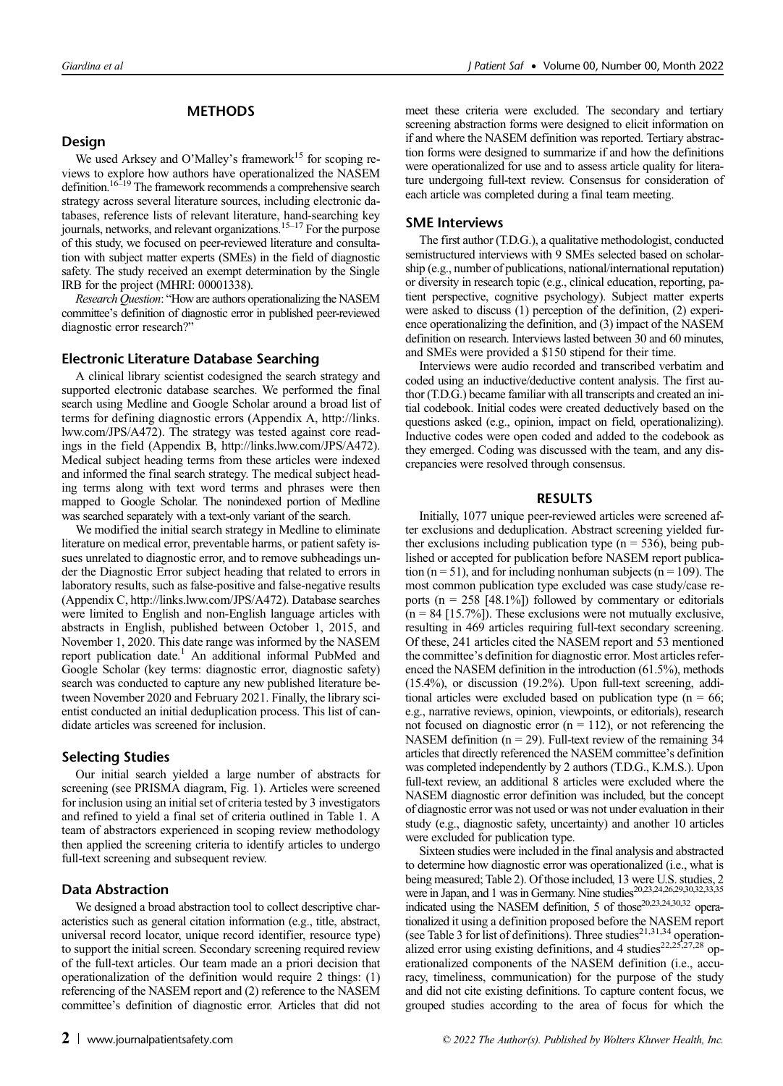## **METHODS**

## Design

We used Arksey and O'Malley's framework<sup>15</sup> for scoping reviews to explore how authors have operationalized the NASEM definition.<sup>16-19</sup> The framework recommends a comprehensive search strategy across several literature sources, including electronic databases, reference lists of relevant literature, hand-searching key journals, networks, and relevant organizations.<sup>15–17</sup> For the purpose of this study, we focused on peer-reviewed literature and consultation with subject matter experts (SMEs) in the field of diagnostic safety. The study received an exempt determination by the Single IRB for the project (MHRI: 00001338).

Research Question: "How are authors operationalizing the NASEM committee's definition of diagnostic error in published peer-reviewed diagnostic error research?"

## Electronic Literature Database Searching

A clinical library scientist codesigned the search strategy and supported electronic database searches. We performed the final search using Medline and Google Scholar around a broad list of terms for defining diagnostic errors (Appendix A, [http://links.](http://links.lww.com/JPS/A472) [lww.com/JPS/A472](http://links.lww.com/JPS/A472)). The strategy was tested against core readings in the field (Appendix B, [http://links.lww.com/JPS/A472\)](http://links.lww.com/JPS/A472). Medical subject heading terms from these articles were indexed and informed the final search strategy. The medical subject heading terms along with text word terms and phrases were then mapped to Google Scholar. The nonindexed portion of Medline was searched separately with a text-only variant of the search.

We modified the initial search strategy in Medline to eliminate literature on medical error, preventable harms, or patient safety issues unrelated to diagnostic error, and to remove subheadings under the Diagnostic Error subject heading that related to errors in laboratory results, such as false-positive and false-negative results (Appendix C, <http://links.lww.com/JPS/A472>). Database searches were limited to English and non-English language articles with abstracts in English, published between October 1, 2015, and November 1, 2020. This date range was informed by the NASEM report publication date.<sup>1</sup> An additional informal PubMed and Google Scholar (key terms: diagnostic error, diagnostic safety) search was conducted to capture any new published literature between November 2020 and February 2021. Finally, the library scientist conducted an initial deduplication process. This list of candidate articles was screened for inclusion.

## Selecting Studies

Our initial search yielded a large number of abstracts for screening (see PRISMA diagram, Fig. 1). Articles were screened for inclusion using an initial set of criteria tested by 3 investigators and refined to yield a final set of criteria outlined in Table 1. A team of abstractors experienced in scoping review methodology then applied the screening criteria to identify articles to undergo full-text screening and subsequent review.

## Data Abstraction

We designed a broad abstraction tool to collect descriptive characteristics such as general citation information (e.g., title, abstract, universal record locator, unique record identifier, resource type) to support the initial screen. Secondary screening required review of the full-text articles. Our team made an a priori decision that operationalization of the definition would require 2 things: (1) referencing of the NASEM report and (2) reference to the NASEM committee's definition of diagnostic error. Articles that did not

meet these criteria were excluded. The secondary and tertiary screening abstraction forms were designed to elicit information on if and where the NASEM definition was reported. Tertiary abstraction forms were designed to summarize if and how the definitions were operationalized for use and to assess article quality for literature undergoing full-text review. Consensus for consideration of each article was completed during a final team meeting.

#### SME Interviews

The first author (T.D.G.), a qualitative methodologist, conducted semistructured interviews with 9 SMEs selected based on scholarship (e.g., number of publications, national/international reputation) or diversity in research topic (e.g., clinical education, reporting, patient perspective, cognitive psychology). Subject matter experts were asked to discuss (1) perception of the definition, (2) experience operationalizing the definition, and (3) impact of the NASEM definition on research. Interviews lasted between 30 and 60 minutes, and SMEs were provided a \$150 stipend for their time.

Interviews were audio recorded and transcribed verbatim and coded using an inductive/deductive content analysis. The first author (T.D.G.) became familiar with all transcripts and created an initial codebook. Initial codes were created deductively based on the questions asked (e.g., opinion, impact on field, operationalizing). Inductive codes were open coded and added to the codebook as they emerged. Coding was discussed with the team, and any discrepancies were resolved through consensus.

## RESULTS

Initially, 1077 unique peer-reviewed articles were screened after exclusions and deduplication. Abstract screening yielded further exclusions including publication type  $(n = 536)$ , being published or accepted for publication before NASEM report publication ( $n = 51$ ), and for including nonhuman subjects ( $n = 109$ ). The most common publication type excluded was case study/case reports ( $n = 258$  [48.1%]) followed by commentary or editorials  $(n = 84 [15.7\%)$ . These exclusions were not mutually exclusive, resulting in 469 articles requiring full-text secondary screening. Of these, 241 articles cited the NASEM report and 53 mentioned the committee's definition for diagnostic error. Most articles referenced the NASEM definition in the introduction (61.5%), methods (15.4%), or discussion (19.2%). Upon full-text screening, additional articles were excluded based on publication type ( $n = 66$ ; e.g., narrative reviews, opinion, viewpoints, or editorials), research not focused on diagnostic error  $(n = 112)$ , or not referencing the NASEM definition ( $n = 29$ ). Full-text review of the remaining 34 articles that directly referenced the NASEM committee's definition was completed independently by 2 authors (T.D.G., K.M.S.). Upon full-text review, an additional 8 articles were excluded where the NASEM diagnostic error definition was included, but the concept of diagnostic error was not used or was not under evaluation in their study (e.g., diagnostic safety, uncertainty) and another 10 articles were excluded for publication type.

Sixteen studies were included in the final analysis and abstracted to determine how diagnostic error was operationalized (i.e., what is being measured; Table 2). Of those included, 13 were U.S. studies, 2 were in Japan, and 1 was in Germany. Nine studies<sup>20,23,24,26,29,30,22,33,35</sup> indicated using the NASEM definition, 5 of those<sup>20,23,24,30,32</sup> operationalized it using a definition proposed before the NASEM report (see Table 3 for list of definitions). Three studies<sup>21,31,34</sup> operationalized error using existing definitions, and 4 studies<sup>22,25,27,28</sup> operationalized components of the NASEM definition (i.e., accuracy, timeliness, communication) for the purpose of the study and did not cite existing definitions. To capture content focus, we grouped studies according to the area of focus for which the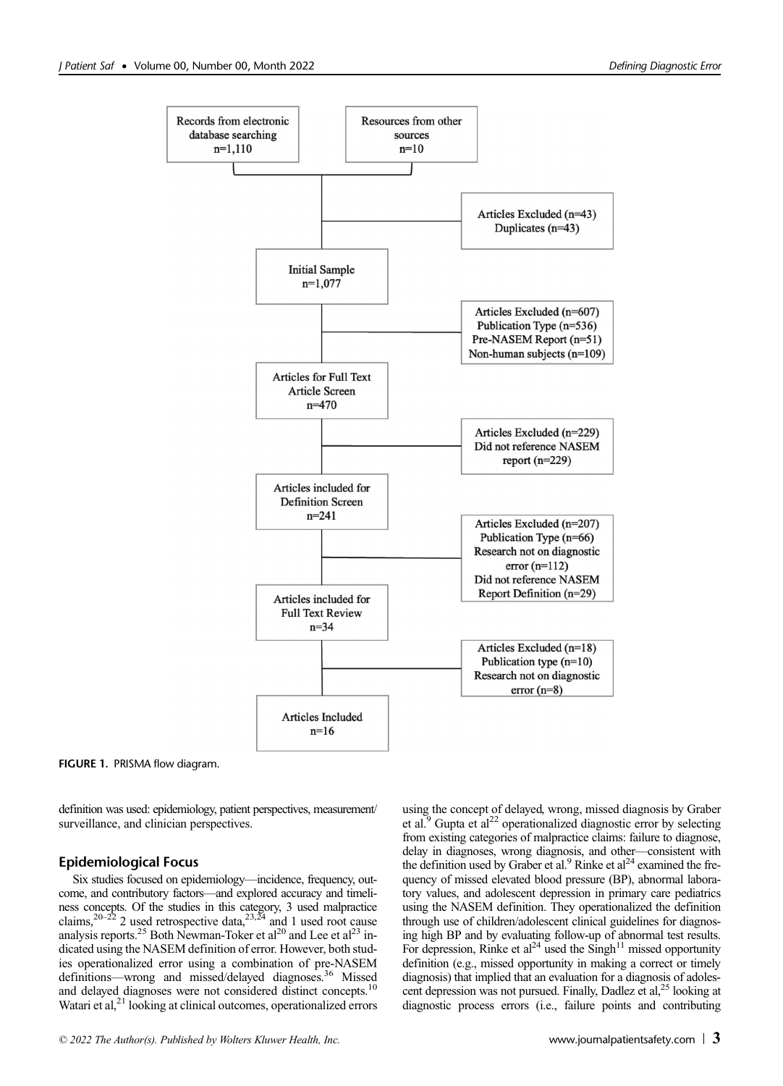

FIGURE 1. PRISMA flow diagram.

definition was used: epidemiology, patient perspectives, measurement/ surveillance, and clinician perspectives.

## Epidemiological Focus

Six studies focused on epidemiology—incidence, frequency, outcome, and contributory factors—and explored accuracy and timeliness concepts. Of the studies in this category, 3 used malpractice claims,  $20-22$  2 used retrospective data,  $23.24$  and 1 used root cause analysis reports.<sup>25</sup> Both Newman-Toker et al<sup>20</sup> and Lee et al<sup>23</sup> indicated using the NASEM definition of error. However, both studies operationalized error using a combination of pre-NASEM definitions—wrong and missed/delayed diagnoses.<sup>36</sup> Missed and delayed diagnoses were not considered distinct [concepts.10](https://concepts.10) Watari et al,<sup>21</sup> looking at clinical outcomes, operationalized errors using the concept of delayed, wrong, missed diagnosis by Graber et al. $9$  Gupta et al<sup>22</sup> operationalized diagnostic error by selecting from existing categories of malpractice claims: failure to diagnose, delay in diagnoses, wrong diagnosis, and other—consistent with the definition used by Graber et al.<sup>9</sup> Rinke et al<sup>24</sup> examined the frequency of missed elevated blood pressure (BP), abnormal laboratory values, and adolescent depression in primary care pediatrics using the NASEM definition. They operationalized the definition through use of children/adolescent clinical guidelines for diagnosing high BP and by evaluating follow-up of abnormal test results. For depression, Rinke et al<sup>24</sup> used the Singh<sup>11</sup> missed opportunity definition (e.g., missed opportunity in making a correct or timely diagnosis) that implied that an evaluation for a diagnosis of adolescent depression was not pursued. Finally, Dadlez et al,<sup>25</sup> looking at diagnostic process errors (i.e., failure points and contributing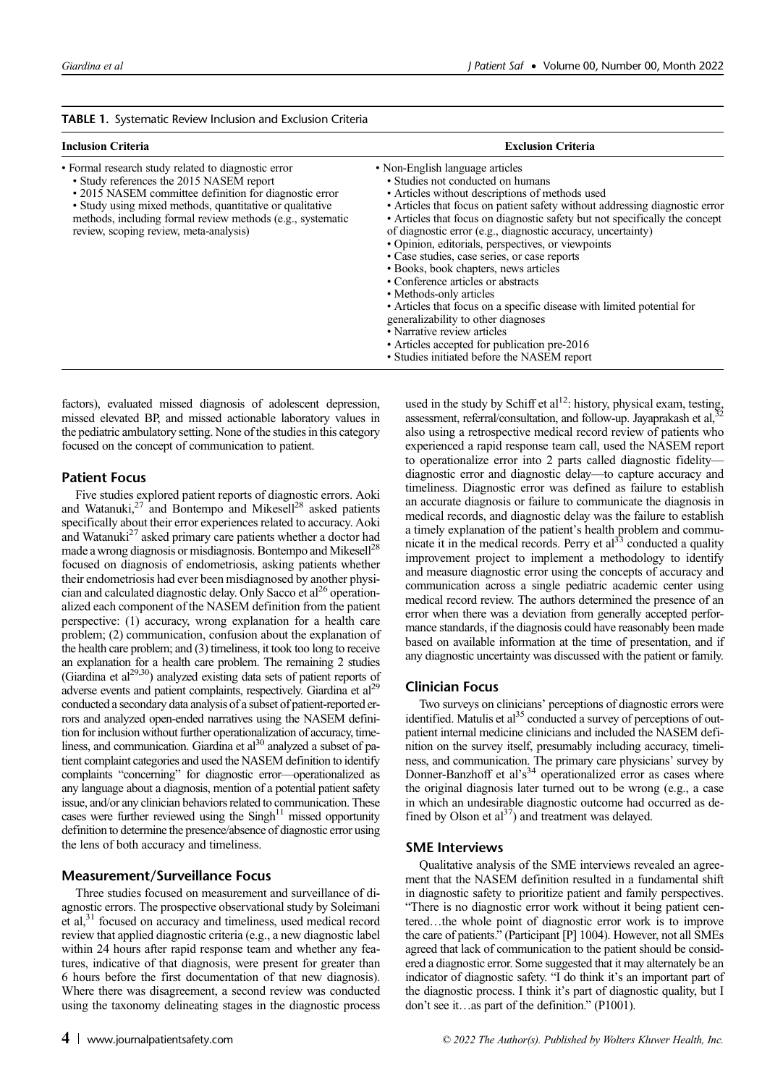| <b>TABLE 1.</b> Systematic Review Inclusion and Exclusion Criteria |  |  |  |  |  |
|--------------------------------------------------------------------|--|--|--|--|--|
|--------------------------------------------------------------------|--|--|--|--|--|

| <b>Inclusion Criteria</b>                                                                                                                                                                                                                                                                                                     | <b>Exclusion Criteria</b>                                                                                                                                                                                                                                                                                                                                                                                                                                                                                                                                                                                                                                                                                                                                                                                            |  |
|-------------------------------------------------------------------------------------------------------------------------------------------------------------------------------------------------------------------------------------------------------------------------------------------------------------------------------|----------------------------------------------------------------------------------------------------------------------------------------------------------------------------------------------------------------------------------------------------------------------------------------------------------------------------------------------------------------------------------------------------------------------------------------------------------------------------------------------------------------------------------------------------------------------------------------------------------------------------------------------------------------------------------------------------------------------------------------------------------------------------------------------------------------------|--|
| • Formal research study related to diagnostic error<br>• Study references the 2015 NASEM report<br>• 2015 NASEM committee definition for diagnostic error<br>• Study using mixed methods, quantitative or qualitative<br>methods, including formal review methods (e.g., systematic<br>review, scoping review, meta-analysis) | • Non-English language articles<br>• Studies not conducted on humans<br>• Articles without descriptions of methods used<br>• Articles that focus on patient safety without addressing diagnostic error<br>• Articles that focus on diagnostic safety but not specifically the concept<br>of diagnostic error (e.g., diagnostic accuracy, uncertainty)<br>• Opinion, editorials, perspectives, or viewpoints<br>• Case studies, case series, or case reports<br>• Books, book chapters, news articles<br>• Conference articles or abstracts<br>• Methods-only articles<br>• Articles that focus on a specific disease with limited potential for<br>generalizability to other diagnoses<br>• Narrative review articles<br>• Articles accepted for publication pre-2016<br>• Studies initiated before the NASEM report |  |

factors), evaluated missed diagnosis of adolescent depression, missed elevated BP, and missed actionable laboratory values in the pediatric ambulatory setting. None of the studies in this category focused on the concept of communication to patient.

## Patient Focus

Five studies explored patient reports of diagnostic errors. Aoki and Watanuki,<sup>27</sup> and Bontempo and Mikesell<sup>28</sup> asked patients specifically about their error experiences related to accuracy. Aoki and Watanuki<sup>27</sup> asked primary care patients whether a doctor had made a wrong diagnosis or misdiagnosis. Bontempo and Mikesell<sup>28</sup> focused on diagnosis of endometriosis, asking patients whether their endometriosis had ever been misdiagnosed by another physician and calculated diagnostic delay. Only Sacco et al<sup>26</sup> operationalized each component of the NASEM definition from the patient perspective: (1) accuracy, wrong explanation for a health care problem; (2) communication, confusion about the explanation of the health care problem; and (3) timeliness, it took too long to receive an explanation for a health care problem. The remaining 2 studies (Giardina et al<sup>29,30</sup>) analyzed existing data sets of patient reports of adverse events and patient complaints, respectively. Giardina et al<sup>29</sup> conducted a secondary data analysis of a subset of patient-reported errors and analyzed open-ended narratives using the NASEM definition for inclusion without further operationalization of accuracy, timeliness, and communication. Giardina et al<sup>30</sup> analyzed a subset of patient complaint categories and used the NASEM definition to identify complaints "concerning" for diagnostic error—operationalized as any language about a diagnosis, mention of a potential patient safety issue, and/or any clinician behaviors related to communication. These cases were further reviewed using the  $Singh$ <sup>11</sup> missed opportunity definition to determine the presence/absence of diagnostic error using the lens of both accuracy and timeliness.

## Measurement/Surveillance Focus

Three studies focused on measurement and surveillance of diagnostic errors. The prospective observational study by Soleimani et al,<sup>31</sup> focused on accuracy and timeliness, used medical record review that applied diagnostic criteria (e.g., a new diagnostic label within 24 hours after rapid response team and whether any features, indicative of that diagnosis, were present for greater than 6 hours before the first documentation of that new diagnosis). Where there was disagreement, a second review was conducted using the taxonomy delineating stages in the diagnostic process

used in the study by Schiff et al<sup>12</sup>: history, physical exam, testing, assessment, referral/consultation, and follow-up. Jayaprakash et al, also using a retrospective medical record review of patients who experienced a rapid response team call, used the NASEM report to operationalize error into 2 parts called diagnostic fidelity diagnostic error and diagnostic delay—to capture accuracy and timeliness. Diagnostic error was defined as failure to establish an accurate diagnosis or failure to communicate the diagnosis in medical records, and diagnostic delay was the failure to establish a timely explanation of the patient's health problem and communicate it in the medical records. Perry et  $al<sup>33</sup>$  conducted a quality improvement project to implement a methodology to identify and measure diagnostic error using the concepts of accuracy and communication across a single pediatric academic center using medical record review. The authors determined the presence of an error when there was a deviation from generally accepted performance standards, if the diagnosis could have reasonably been made based on available information at the time of presentation, and if any diagnostic uncertainty was discussed with the patient or family.

#### Clinician Focus

Two surveys on clinicians' perceptions of diagnostic errors were identified. Matulis et al $^{35}$  conducted a survey of perceptions of outpatient internal medicine clinicians and included the NASEM definition on the survey itself, presumably including accuracy, timeliness, and communication. The primary care physicians' survey by Donner-Banzhoff et al's <sup>34</sup> operationalized error as cases where the original diagnosis later turned out to be wrong (e.g., a case in which an undesirable diagnostic outcome had occurred as defined by Olson et  $al<sup>37</sup>$ ) and treatment was delayed.

## SME Interviews

Qualitative analysis of the SME interviews revealed an agreement that the NASEM definition resulted in a fundamental shift in diagnostic safety to prioritize patient and family perspectives. "There is no diagnostic error work without it being patient centered…the whole point of diagnostic error work is to improve the care of patients." (Participant [P] 1004). However, not all SMEs agreed that lack of communication to the patient should be considered a diagnostic error. Some suggested that it may alternately be an indicator of diagnostic safety. "I do think it's an important part of the diagnostic process. I think it's part of diagnostic quality, but I don't see it…as part of the definition." (P1001).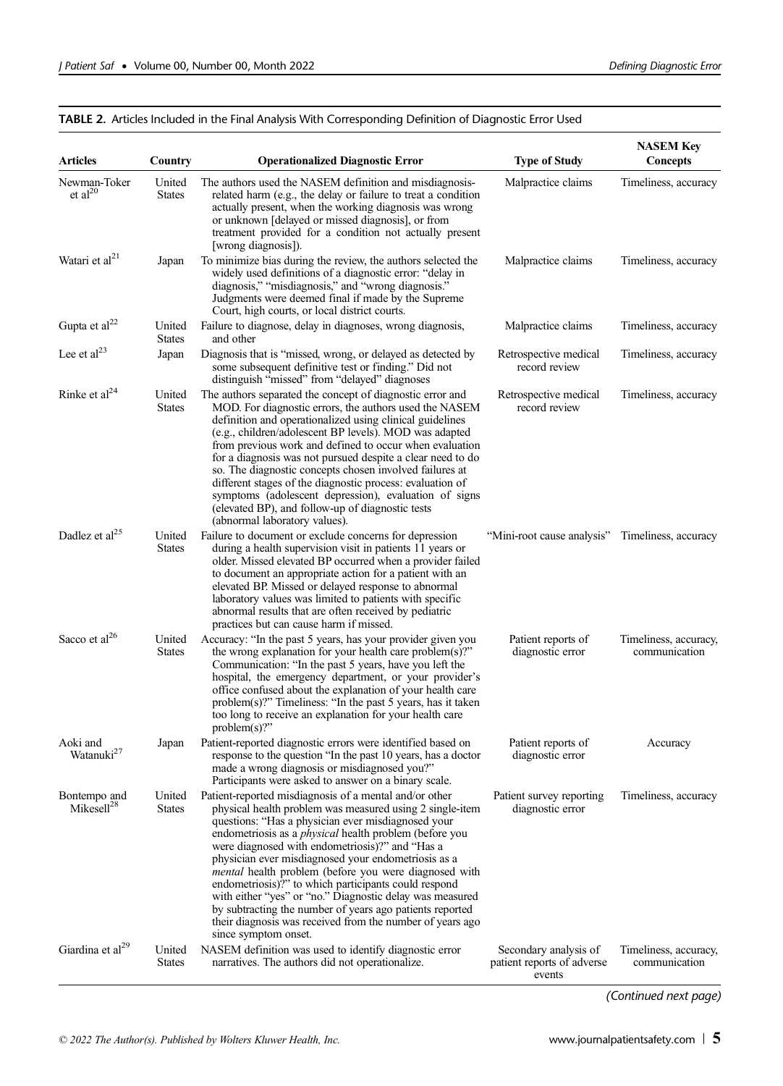## TABLE 2. Articles Included in the Final Analysis With Corresponding Definition of Diagnostic Error Used

| <b>Articles</b>                        | Country                 | <b>Operationalized Diagnostic Error</b>                                                                                                                                                                                                                                                                                                                                                                                                                                                                                                                                                                                                                                           | <b>Type of Study</b>                                          | <b>NASEM Key</b><br><b>Concepts</b>    |
|----------------------------------------|-------------------------|-----------------------------------------------------------------------------------------------------------------------------------------------------------------------------------------------------------------------------------------------------------------------------------------------------------------------------------------------------------------------------------------------------------------------------------------------------------------------------------------------------------------------------------------------------------------------------------------------------------------------------------------------------------------------------------|---------------------------------------------------------------|----------------------------------------|
| Newman-Toker<br>et $al^{20}$           | United<br><b>States</b> | The authors used the NASEM definition and misdiagnosis-<br>related harm (e.g., the delay or failure to treat a condition<br>actually present, when the working diagnosis was wrong<br>or unknown [delayed or missed diagnosis], or from<br>treatment provided for a condition not actually present<br>[wrong diagnosis]).                                                                                                                                                                                                                                                                                                                                                         | Malpractice claims                                            | Timeliness, accuracy                   |
| Watari et al <sup>21</sup>             | Japan                   | To minimize bias during the review, the authors selected the<br>widely used definitions of a diagnostic error: "delay in<br>diagnosis," "misdiagnosis," and "wrong diagnosis."<br>Judgments were deemed final if made by the Supreme<br>Court, high courts, or local district courts.                                                                                                                                                                                                                                                                                                                                                                                             | Malpractice claims                                            | Timeliness, accuracy                   |
| Gupta et al <sup>22</sup>              | United<br><b>States</b> | Failure to diagnose, delay in diagnoses, wrong diagnosis,<br>and other                                                                                                                                                                                                                                                                                                                                                                                                                                                                                                                                                                                                            | Malpractice claims                                            | Timeliness, accuracy                   |
| Lee et $al23$                          | Japan                   | Diagnosis that is "missed, wrong, or delayed as detected by<br>some subsequent definitive test or finding." Did not<br>distinguish "missed" from "delayed" diagnoses                                                                                                                                                                                                                                                                                                                                                                                                                                                                                                              | Retrospective medical<br>record review                        | Timeliness, accuracy                   |
| Rinke et al <sup>24</sup>              | United<br><b>States</b> | The authors separated the concept of diagnostic error and<br>MOD. For diagnostic errors, the authors used the NASEM<br>definition and operationalized using clinical guidelines<br>(e.g., children/adolescent BP levels). MOD was adapted<br>from previous work and defined to occur when evaluation<br>for a diagnosis was not pursued despite a clear need to do<br>so. The diagnostic concepts chosen involved failures at<br>different stages of the diagnostic process: evaluation of<br>symptoms (adolescent depression), evaluation of signs<br>(elevated BP), and follow-up of diagnostic tests<br>(abnormal laboratory values).                                          | Retrospective medical<br>record review                        | Timeliness, accuracy                   |
| Dadlez et al <sup>25</sup>             | United<br><b>States</b> | Failure to document or exclude concerns for depression<br>during a health supervision visit in patients 11 years or<br>older. Missed elevated BP occurred when a provider failed<br>to document an appropriate action for a patient with an<br>elevated BP. Missed or delayed response to abnormal<br>laboratory values was limited to patients with specific<br>abnormal results that are often received by pediatric<br>practices but can cause harm if missed.                                                                                                                                                                                                                 | "Mini-root cause analysis"                                    | Timeliness, accuracy                   |
| Sacco et al <sup>26</sup>              | United<br><b>States</b> | Accuracy: "In the past 5 years, has your provider given you<br>the wrong explanation for your health care problem(s)?"<br>Communication: "In the past 5 years, have you left the<br>hospital, the emergency department, or your provider's<br>office confused about the explanation of your health care<br>$problem(s)$ ?" Timeliness: "In the past 5 years, has it taken<br>too long to receive an explanation for your health care<br>$problem(s)$ ?"                                                                                                                                                                                                                           | Patient reports of<br>diagnostic error                        | Timeliness, accuracy,<br>communication |
| Aoki and<br>Watanuki <sup>27</sup>     | Japan                   | Patient-reported diagnostic errors were identified based on<br>response to the question "In the past 10 years, has a doctor<br>made a wrong diagnosis or misdiagnosed you?"<br>Participants were asked to answer on a binary scale.                                                                                                                                                                                                                                                                                                                                                                                                                                               | Patient reports of<br>diagnostic error                        | Accuracy                               |
| Bontempo and<br>Mikeself <sup>28</sup> | United<br><b>States</b> | Patient-reported misdiagnosis of a mental and/or other<br>physical health problem was measured using 2 single-item<br>questions: "Has a physician ever misdiagnosed your<br>endometriosis as a <i>physical</i> health problem (before you<br>were diagnosed with endometriosis)?" and "Has a<br>physician ever misdiagnosed your endometriosis as a<br>mental health problem (before you were diagnosed with<br>endometriosis)?" to which participants could respond<br>with either "yes" or "no." Diagnostic delay was measured<br>by subtracting the number of years ago patients reported<br>their diagnosis was received from the number of years ago<br>since symptom onset. | Patient survey reporting<br>diagnostic error                  | Timeliness, accuracy                   |
| Giardina et al <sup>29</sup>           | United<br><b>States</b> | NASEM definition was used to identify diagnostic error<br>narratives. The authors did not operationalize.                                                                                                                                                                                                                                                                                                                                                                                                                                                                                                                                                                         | Secondary analysis of<br>patient reports of adverse<br>events | Timeliness, accuracy,<br>communication |

(Continued next page)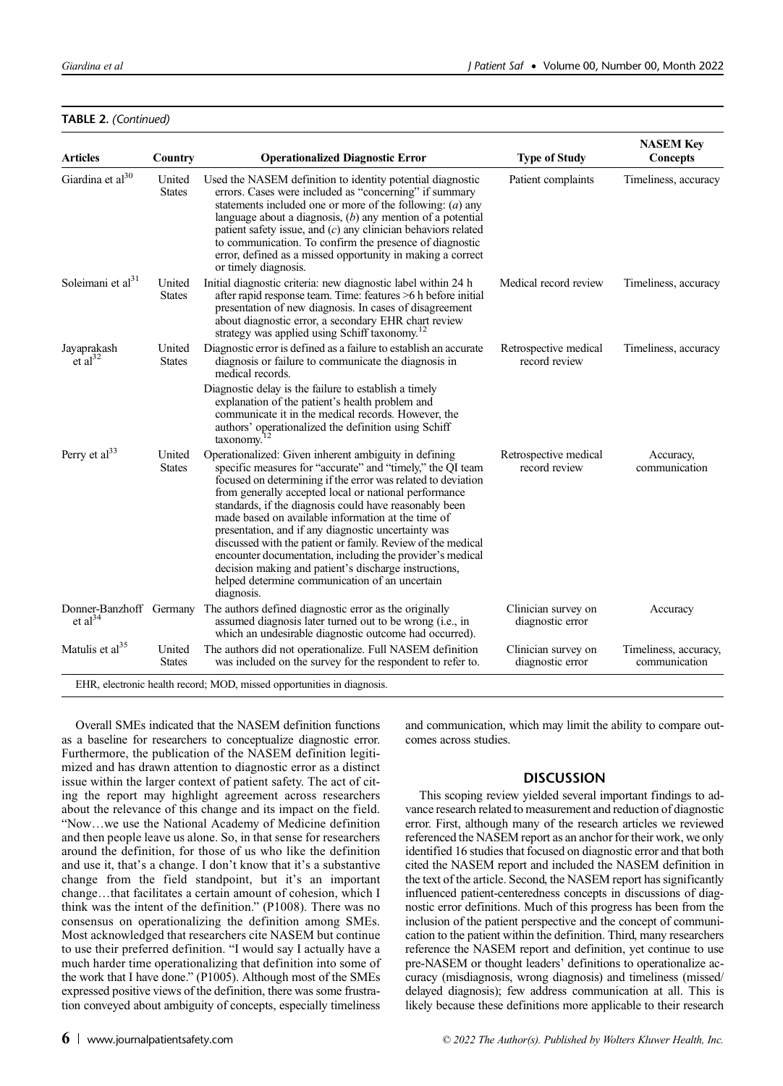## TABLE 2. (Continued)

| <b>Articles</b>                      | Country                 | <b>Operationalized Diagnostic Error</b>                                                                                                                                                                                                                                                                                                                                                                                                                                                                                                                                                                                                                                  | <b>Type of Study</b>                    | <b>NASEM Key</b><br><b>Concepts</b>    |
|--------------------------------------|-------------------------|--------------------------------------------------------------------------------------------------------------------------------------------------------------------------------------------------------------------------------------------------------------------------------------------------------------------------------------------------------------------------------------------------------------------------------------------------------------------------------------------------------------------------------------------------------------------------------------------------------------------------------------------------------------------------|-----------------------------------------|----------------------------------------|
| Giardina et al <sup>30</sup>         | United<br><b>States</b> | Used the NASEM definition to identity potential diagnostic<br>errors. Cases were included as "concerning" if summary<br>statements included one or more of the following: $(a)$ any<br>language about a diagnosis, $(b)$ any mention of a potential<br>patient safety issue, and $(c)$ any clinician behaviors related<br>to communication. To confirm the presence of diagnostic<br>error, defined as a missed opportunity in making a correct<br>or timely diagnosis.                                                                                                                                                                                                  | Patient complaints                      | Timeliness, accuracy                   |
| Soleimani et $al31$                  | United<br><b>States</b> | Initial diagnostic criteria: new diagnostic label within 24 h<br>after rapid response team. Time: features >6 h before initial<br>presentation of new diagnosis. In cases of disagreement<br>about diagnostic error, a secondary EHR chart review<br>strategy was applied using Schiff taxonomy. <sup>12</sup>                                                                                                                                                                                                                                                                                                                                                           | Medical record review                   | Timeliness, accuracy                   |
| Jayaprakash<br>$et al^{32}$          | United<br><b>States</b> | Diagnostic error is defined as a failure to establish an accurate<br>diagnosis or failure to communicate the diagnosis in<br>medical records.                                                                                                                                                                                                                                                                                                                                                                                                                                                                                                                            | Retrospective medical<br>record review  | Timeliness, accuracy                   |
|                                      |                         | Diagnostic delay is the failure to establish a timely<br>explanation of the patient's health problem and<br>communicate it in the medical records. However, the<br>authors' operationalized the definition using Schiff<br>taxonomy.                                                                                                                                                                                                                                                                                                                                                                                                                                     |                                         |                                        |
| Perry et al <sup>33</sup>            | United<br><b>States</b> | Operationalized: Given inherent ambiguity in defining<br>specific measures for "accurate" and "timely," the QI team<br>focused on determining if the error was related to deviation<br>from generally accepted local or national performance<br>standards, if the diagnosis could have reasonably been<br>made based on available information at the time of<br>presentation, and if any diagnostic uncertainty was<br>discussed with the patient or family. Review of the medical<br>encounter documentation, including the provider's medical<br>decision making and patient's discharge instructions,<br>helped determine communication of an uncertain<br>diagnosis. | Retrospective medical<br>record review  | Accuracy,<br>communication             |
| Donner-Banzhoff Germany<br>et $al34$ |                         | The authors defined diagnostic error as the originally<br>assumed diagnosis later turned out to be wrong (i.e., in<br>which an undesirable diagnostic outcome had occurred).                                                                                                                                                                                                                                                                                                                                                                                                                                                                                             | Clinician survey on<br>diagnostic error | Accuracy                               |
| Matulis et al <sup>35</sup>          | United<br><b>States</b> | The authors did not operationalize. Full NASEM definition<br>was included on the survey for the respondent to refer to.                                                                                                                                                                                                                                                                                                                                                                                                                                                                                                                                                  | Clinician survey on<br>diagnostic error | Timeliness, accuracy,<br>communication |

Overall SMEs indicated that the NASEM definition functions as a baseline for researchers to conceptualize diagnostic error. Furthermore, the publication of the NASEM definition legitimized and has drawn attention to diagnostic error as a distinct issue within the larger context of patient safety. The act of citing the report may highlight agreement across researchers about the relevance of this change and its impact on the field. "Now…we use the National Academy of Medicine definition and then people leave us alone. So, in that sense for researchers around the definition, for those of us who like the definition and use it, that's a change. I don't know that it's a substantive change from the field standpoint, but it's an important change…that facilitates a certain amount of cohesion, which I think was the intent of the definition." (P1008). There was no consensus on operationalizing the definition among SMEs. Most acknowledged that researchers cite NASEM but continue to use their preferred definition. "I would say I actually have a much harder time operationalizing that definition into some of the work that I have done." (P1005). Although most of the SMEs expressed positive views of the definition, there was some frustration conveyed about ambiguity of concepts, especially timeliness

and communication, which may limit the ability to compare outcomes across studies.

## DISCUSSION

This scoping review yielded several important findings to advance research related to measurement and reduction of diagnostic error. First, although many of the research articles we reviewed referenced the NASEM report as an anchor for their work, we only identified 16 studies that focused on diagnostic error and that both cited the NASEM report and included the NASEM definition in the text of the article. Second, the NASEM report has significantly influenced patient-centeredness concepts in discussions of diagnostic error definitions. Much of this progress has been from the inclusion of the patient perspective and the concept of communication to the patient within the definition. Third, many researchers reference the NASEM report and definition, yet continue to use pre-NASEM or thought leaders' definitions to operationalize accuracy (misdiagnosis, wrong diagnosis) and timeliness (missed/ delayed diagnosis); few address communication at all. This is likely because these definitions more applicable to their research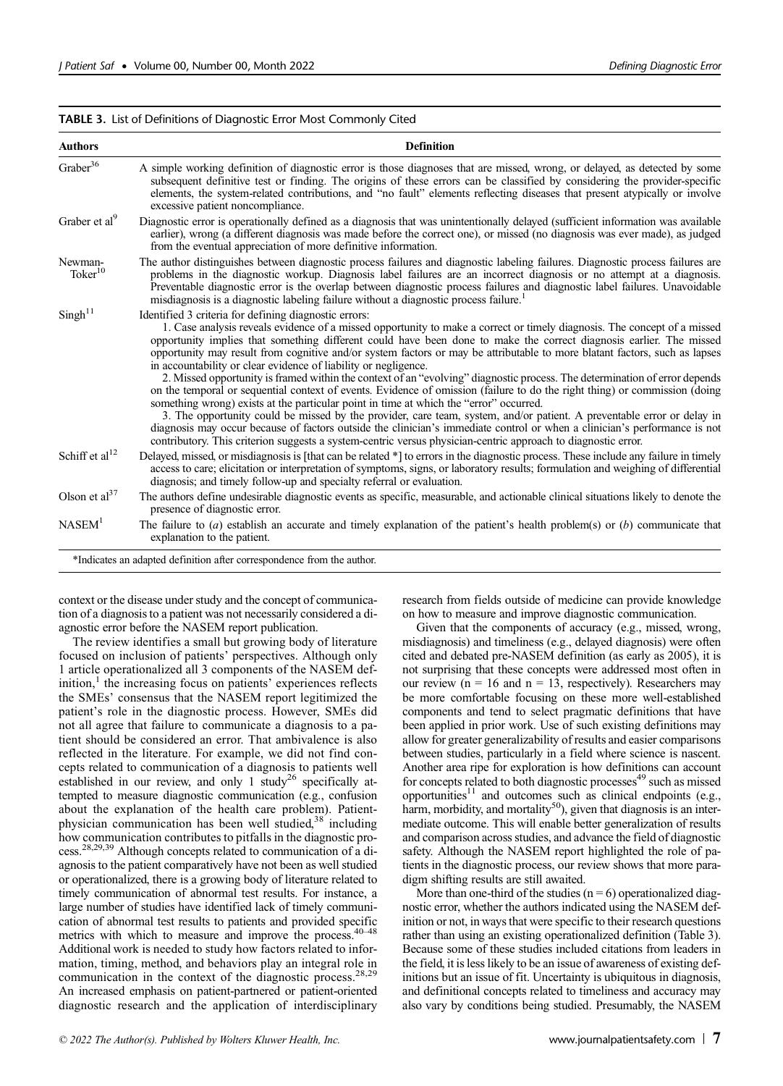## TABLE 3. List of Definitions of Diagnostic Error Most Commonly Cited

| <b>Authors</b>                 | <b>Definition</b>                                                                                                                                                                                                                                                                                                                                                                                                                                                                                                                                                                                                                                                                                                                                                                                                                                                                                                                                                                                                                                                                                                                                                                                                                       |
|--------------------------------|-----------------------------------------------------------------------------------------------------------------------------------------------------------------------------------------------------------------------------------------------------------------------------------------------------------------------------------------------------------------------------------------------------------------------------------------------------------------------------------------------------------------------------------------------------------------------------------------------------------------------------------------------------------------------------------------------------------------------------------------------------------------------------------------------------------------------------------------------------------------------------------------------------------------------------------------------------------------------------------------------------------------------------------------------------------------------------------------------------------------------------------------------------------------------------------------------------------------------------------------|
| Graber <sup>36</sup>           | A simple working definition of diagnostic error is those diagnoses that are missed, wrong, or delayed, as detected by some<br>subsequent definitive test or finding. The origins of these errors can be classified by considering the provider-specific<br>elements, the system-related contributions, and "no fault" elements reflecting diseases that present atypically or involve<br>excessive patient noncompliance.                                                                                                                                                                                                                                                                                                                                                                                                                                                                                                                                                                                                                                                                                                                                                                                                               |
| Graber et al <sup>9</sup>      | Diagnostic error is operationally defined as a diagnosis that was unintentionally delayed (sufficient information was available<br>earlier), wrong (a different diagnosis was made before the correct one), or missed (no diagnosis was ever made), as judged<br>from the eventual appreciation of more definitive information.                                                                                                                                                                                                                                                                                                                                                                                                                                                                                                                                                                                                                                                                                                                                                                                                                                                                                                         |
| Newman-<br>Toker <sup>10</sup> | The author distinguishes between diagnostic process failures and diagnostic labeling failures. Diagnostic process failures are<br>problems in the diagnostic workup. Diagnosis label failures are an incorrect diagnosis or no attempt at a diagnosis.<br>Preventable diagnostic error is the overlap between diagnostic process failures and diagnostic label failures. Unavoidable<br>misdiagnosis is a diagnostic labeling failure without a diagnostic process failure.                                                                                                                                                                                                                                                                                                                                                                                                                                                                                                                                                                                                                                                                                                                                                             |
| $Singh^{11}$                   | Identified 3 criteria for defining diagnostic errors:<br>1. Case analysis reveals evidence of a missed opportunity to make a correct or timely diagnosis. The concept of a missed<br>opportunity implies that something different could have been done to make the correct diagnosis earlier. The missed<br>opportunity may result from cognitive and/or system factors or may be attributable to more blatant factors, such as lapses<br>in accountability or clear evidence of liability or negligence.<br>2. Missed opportunity is framed within the context of an "evolving" diagnostic process. The determination of error depends<br>on the temporal or sequential context of events. Evidence of omission (failure to do the right thing) or commission (doing<br>something wrong) exists at the particular point in time at which the "error" occurred.<br>3. The opportunity could be missed by the provider, care team, system, and/or patient. A preventable error or delay in<br>diagnosis may occur because of factors outside the clinician's immediate control or when a clinician's performance is not<br>contributory. This criterion suggests a system-centric versus physician-centric approach to diagnostic error. |
| Schiff et al <sup>12</sup>     | Delayed, missed, or misdiagnosis is [that can be related *] to errors in the diagnostic process. These include any failure in timely<br>access to care; elicitation or interpretation of symptoms, signs, or laboratory results; formulation and weighing of differential<br>diagnosis; and timely follow-up and specialty referral or evaluation.                                                                                                                                                                                                                                                                                                                                                                                                                                                                                                                                                                                                                                                                                                                                                                                                                                                                                      |
| Olson et $al37$                | The authors define undesirable diagnostic events as specific, measurable, and actionable clinical situations likely to denote the<br>presence of diagnostic error.                                                                                                                                                                                                                                                                                                                                                                                                                                                                                                                                                                                                                                                                                                                                                                                                                                                                                                                                                                                                                                                                      |
| NASEM <sup>1</sup>             | The failure to $(a)$ establish an accurate and timely explanation of the patient's health problem(s) or $(b)$ communicate that<br>explanation to the patient.                                                                                                                                                                                                                                                                                                                                                                                                                                                                                                                                                                                                                                                                                                                                                                                                                                                                                                                                                                                                                                                                           |

context or the disease under study and the concept of communication of a diagnosisto a patient was not necessarily considered a diagnostic error before the NASEM report publication.

The review identifies a small but growing body of literature focused on inclusion of patients' perspectives. Although only 1 article operationalized all 3 components of the NASEM def $initial$ , the increasing focus on patients' experiences reflects the SMEs' consensus that the NASEM report legitimized the patient's role in the diagnostic process. However, SMEs did not all agree that failure to communicate a diagnosis to a patient should be considered an error. That ambivalence is also reflected in the literature. For example, we did not find concepts related to communication of a diagnosis to patients well established in our review, and only  $1$  study<sup>26</sup> specifically attempted to measure diagnostic communication (e.g., confusion about the explanation of the health care problem). Patientphysician communication has been well studied,<sup>38</sup> including how communication contributes to pitfalls in the diagnostic process.28,29,39 Although concepts related to communication of a diagnosis to the patient comparatively have not been as well studied or operationalized, there is a growing body of literature related to timely communication of abnormal test results. For instance, a large number of studies have identified lack of timely communication of abnormal test results to patients and provided specific metrics with which to measure and improve the process. $40-48$ Additional work is needed to study how factors related to information, timing, method, and behaviors play an integral role in communication in the context of the diagnostic process.<sup>28,29</sup> An increased emphasis on patient-partnered or patient-oriented diagnostic research and the application of interdisciplinary research from fields outside of medicine can provide knowledge on how to measure and improve diagnostic communication.

Given that the components of accuracy (e.g., missed, wrong, misdiagnosis) and timeliness (e.g., delayed diagnosis) were often cited and debated pre-NASEM definition (as early as 2005), it is not surprising that these concepts were addressed most often in our review ( $n = 16$  and  $n = 13$ , respectively). Researchers may be more comfortable focusing on these more well-established components and tend to select pragmatic definitions that have been applied in prior work. Use of such existing definitions may allow for greater generalizability of results and easier comparisons between studies, particularly in a field where science is nascent. Another area ripe for exploration is how definitions can account for concepts related to both diagnostic processes<sup>49</sup> such as missed opportunities<sup>11</sup> and outcomes such as clinical endpoints (e.g., harm, morbidity, and mortality<sup>50</sup>), given that diagnosis is an intermediate outcome. This will enable better generalization of results and comparison across studies, and advance the field of diagnostic safety. Although the NASEM report highlighted the role of patients in the diagnostic process, our review shows that more paradigm shifting results are still awaited.

More than one-third of the studies  $(n = 6)$  operationalized diagnostic error, whether the authors indicated using the NASEM definition or not, in ways that were specific to their research questions rather than using an existing operationalized definition (Table 3). Because some of these studies included citations from leaders in the field, it is less likely to be an issue of awareness of existing definitions but an issue of fit. Uncertainty is ubiquitous in diagnosis, and definitional concepts related to timeliness and accuracy may also vary by conditions being studied. Presumably, the NASEM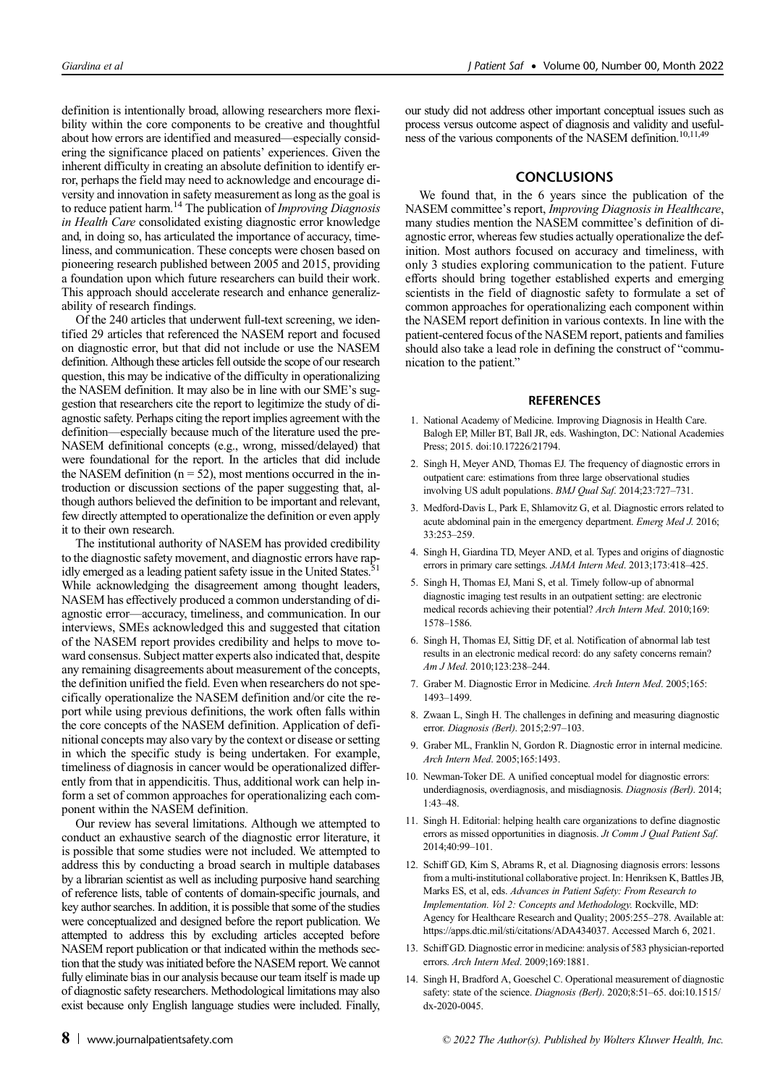definition is intentionally broad, allowing researchers more flexibility within the core components to be creative and thoughtful about how errors are identified and measured—especially considering the significance placed on patients' experiences. Given the inherent difficulty in creating an absolute definition to identify error, perhaps the field may need to acknowledge and encourage diversity and innovation in safety measurement aslong asthe goal is to reduce patient harm.<sup>14</sup> The publication of *Improving Diagnosis* in Health Care consolidated existing diagnostic error knowledge and, in doing so, has articulated the importance of accuracy, timeliness, and communication. These concepts were chosen based on pioneering research published between 2005 and 2015, providing a foundation upon which future researchers can build their work. This approach should accelerate research and enhance generalizability of research findings.

Of the 240 articles that underwent full-text screening, we identified 29 articles that referenced the NASEM report and focused on diagnostic error, but that did not include or use the NASEM definition. Although these articles fell outside the scope of our research question, this may be indicative of the difficulty in operationalizing the NASEM definition. It may also be in line with our SME's suggestion that researchers cite the report to legitimize the study of diagnostic safety. Perhaps citing the report implies agreement with the definition—especially because much of the literature used the pre-NASEM definitional concepts (e.g., wrong, missed/delayed) that were foundational for the report. In the articles that did include the NASEM definition  $(n = 52)$ , most mentions occurred in the introduction or discussion sections of the paper suggesting that, although authors believed the definition to be important and relevant, few directly attempted to operationalize the definition or even apply it to their own research.

The institutional authority of NASEM has provided credibility to the diagnostic safety movement, and diagnostic errors have rap-<br> $\frac{51}{2}$ idly emerged as a leading patient safety issue in the United States.<sup>5</sup> While acknowledging the disagreement among thought leaders, NASEM has effectively produced a common understanding of diagnostic error—accuracy, timeliness, and communication. In our interviews, SMEs acknowledged this and suggested that citation of the NASEM report provides credibility and helps to move toward consensus. Subject matter experts also indicated that, despite any remaining disagreements about measurement of the concepts, the definition unified the field. Even when researchers do not specifically operationalize the NASEM definition and/or cite the report while using previous definitions, the work often falls within the core concepts of the NASEM definition. Application of definitional concepts may also vary by the context or disease orsetting in which the specific study is being undertaken. For example, timeliness of diagnosis in cancer would be operationalized differently from that in appendicitis. Thus, additional work can help inform a set of common approaches for operationalizing each component within the NASEM definition.

Our review has several limitations. Although we attempted to conduct an exhaustive search of the diagnostic error literature, it is possible that some studies were not included. We attempted to address this by conducting a broad search in multiple databases by a librarian scientist as well as including purposive hand searching of reference lists, table of contents of domain-specific journals, and key author searches. In addition, it is possible that some of the studies were conceptualized and designed before the report publication. We attempted to address this by excluding articles accepted before NASEM report publication or that indicated within the methods section that the study was initiated before the NASEM report. We cannot fully eliminate bias in our analysis because our team itself is made up of diagnostic safety researchers. Methodological limitations may also exist because only English language studies were included. Finally,

our study did not address other important conceptual issues such as process versus outcome aspect of diagnosis and validity and usefulness of the various components of the NASEM definition.<sup>10,11,49</sup>

## **CONCLUSIONS**

We found that, in the 6 years since the publication of the NASEM committee's report, Improving Diagnosis in Healthcare, many studies mention the NASEM committee's definition of diagnostic error, whereas few studies actually operationalize the definition. Most authors focused on accuracy and timeliness, with only 3 studies exploring communication to the patient. Future efforts should bring together established experts and emerging scientists in the field of diagnostic safety to formulate a set of common approaches for operationalizing each component within the NASEM report definition in various contexts. In line with the patient-centered focus of the NASEM report, patients and families should also take a lead role in defining the construct of "communication to the patient."

#### **REFERENCES**

- 1. National Academy of Medicine. Improving Diagnosis in Health Care. Balogh EP, Miller BT, Ball JR, eds. Washington, DC: National Academies Press; 2015. doi:10.17226/21794.
- 2. Singh H, Meyer AND, Thomas EJ. The frequency of diagnostic errors in outpatient care: estimations from three large observational studies involving US adult populations. BMJ Qual Saf. 2014;23:727–731.
- 3. Medford-Davis L, Park E, Shlamovitz G, et al. Diagnostic errors related to acute abdominal pain in the emergency department. Emerg Med J. 2016; 33:253–259.
- 4. Singh H, Giardina TD, Meyer AND, et al. Types and origins of diagnostic errors in primary care settings. JAMA Intern Med. 2013;173:418–425.
- 5. Singh H, Thomas EJ, Mani S, et al. Timely follow-up of abnormal diagnostic imaging test results in an outpatient setting: are electronic medical records achieving their potential? Arch Intern Med. 2010;169: 1578–1586.
- 6. Singh H, Thomas EJ, Sittig DF, et al. Notification of abnormal lab test results in an electronic medical record: do any safety concerns remain? Am J Med. 2010;123:238–244.
- 7. Graber M. Diagnostic Error in Medicine. Arch Intern Med. 2005;165: 1493–1499.
- 8. Zwaan L, Singh H. The challenges in defining and measuring diagnostic error. Diagnosis (Berl). 2015;2:97–103.
- 9. Graber ML, Franklin N, Gordon R. Diagnostic error in internal medicine. Arch Intern Med. 2005;165:1493.
- 10. Newman-Toker DE. A unified conceptual model for diagnostic errors: underdiagnosis, overdiagnosis, and misdiagnosis. Diagnosis (Berl). 2014; 1:43–48.
- 11. Singh H. Editorial: helping health care organizations to define diagnostic errors as missed opportunities in diagnosis. Jt Comm J Qual Patient Saf. 2014;40:99–101.
- 12. Schiff GD, Kim S, Abrams R, et al. Diagnosing diagnosis errors: lessons from a multi-institutional collaborative project. In: Henriksen K, Battles JB, Marks ES, et al, eds. Advances in Patient Safety: From Research to Implementation. Vol 2: Concepts and Methodology. Rockville, MD: Agency for Healthcare Research and Quality; 2005:255–278. Available at: <https://apps.dtic.mil/sti/citations/ADA434037>. Accessed March 6, 2021.
- 13. Schiff GD. Diagnostic error in medicine: analysis of 583 physician-reported errors. Arch Intern Med. 2009;169:1881.
- 14. Singh H, Bradford A, Goeschel C. Operational measurement of diagnostic safety: state of the science. Diagnosis (Berl). 2020;8:51-65. doi:10.1515/ dx-2020-0045.